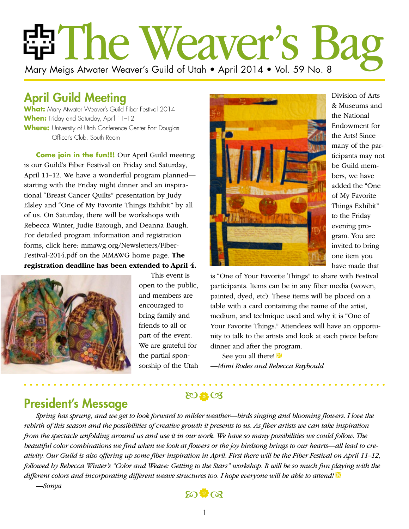# ria The Weaver's Ba Mary Meigs Atwater Weaver's Guild of Utah • April 2014 • Vol. 59 No. 8

# April Guild Meeting

**What:** Mary Atwater Weaver's Guild Fiber Festival 2014 When: Friday and Saturday, April 11-12 **Where:** University of Utah Conference Center Fort Douglas Officer's Club, South Room

**Come join in the fun!!!** Our April Guild meeting is our Guild's Fiber Festival on Friday and Saturday, April 11–12. We have a wonderful program planned starting with the Friday night dinner and an inspirational "Breast Cancer Quilts" presentation by Judy Elsley and "One of My Favorite Things Exhibit" by all of us. On Saturday, there will be workshops with Rebecca Winter, Judie Eatough, and Deanna Baugh. For detailed program information and registration forms, click here: mmawg.org/Newsletters/Fiber-Festival-2014.pdf on the MMAWG home page. **The registration deadline has been extended to April 4.**



This event is open to the public, and members are encouraged to bring family and friends to all or part of the event. We are grateful for the partial sponsorship of the Utah



Division of Arts & Museums and the National Endowment for the Arts! Since many of the participants may not be Guild members, we have added the "One of My Favorite Things Exhibit" to the Friday evening program. You are invited to bring one item you have made that

is "One of Your Favorite Things" to share with Festival participants. Items can be in any fiber media (woven, painted, dyed, etc). These items will be placed on a table with a card containing the name of the artist, medium, and technique used and why it is "One of Your Favorite Things." Attendees will have an opportunity to talk to the artists and look at each piece before dinner and after the program.

See you all there! *—Mimi Rodes and Rebecca Raybould*

### President's Message

 $80.603$ 

*Spring has sprung, and we get to look forward to milder weather—birds singing and blooming flowers. I love the rebirth of this season and the possibilities of creative growth it presents to us. As fiber artists we can take inspiration from the spectacle unfolding around us and use it in our work. We have so many possibilities we could follow. The beautiful color combinations we find when we look at flowers or the joy birdsong brings to our hearts—all lead to creativity. Our Guild is also offering up some fiber inspiration in April. First there will be the Fiber Festival on April 11–12, followed by Rebecca Winter's "Color and Weave: Getting to the Stars" workshop. It will be so much fun playing with the different colors and incorporating different weave structures too. I hope everyone will be able to attend! —Sonya*

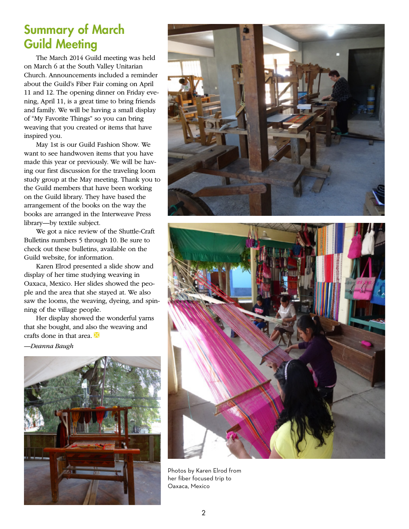### Summary of March Guild Meeting

The March 2014 Guild meeting was held on March 6 at the South Valley Unitarian Church. Announcements included a reminder about the Guild's Fiber Fair coming on April 11 and 12. The opening dinner on Friday evening, April 11, is a great time to bring friends and family. We will be having a small display of "My Favorite Things" so you can bring weaving that you created or items that have inspired you.

May 1st is our Guild Fashion Show. We want to see handwoven items that you have made this year or previously. We will be having our first discussion for the traveling loom study group at the May meeting. Thank you to the Guild members that have been working on the Guild library. They have based the arrangement of the books on the way the books are arranged in the Interweave Press library—by textile subject.

We got a nice review of the Shuttle-Craft Bulletins numbers 5 through 10. Be sure to check out these bulletins, available on the Guild website, for information.

Karen Elrod presented a slide show and display of her time studying weaving in Oaxaca, Mexico. Her slides showed the people and the area that she stayed at. We also saw the looms, the weaving, dyeing, and spinning of the village people.

Her display showed the wonderful yarns that she bought, and also the weaving and crafts done in that area.  $\mathbb{X}$ 

*—Deanna Baugh*







Photos by Karen Elrod from her fiber focused trip to Oaxaca, Mexico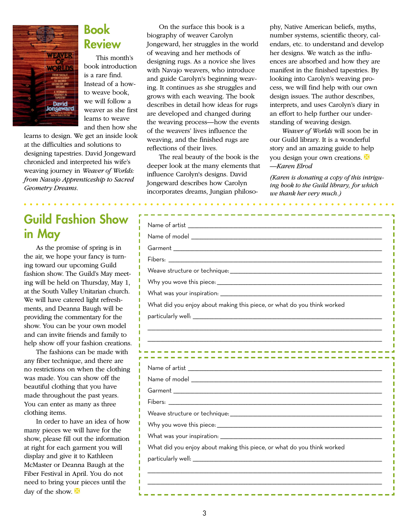

### Book Review

This month's book introduction is a rare find. Instead of a howto weave book, we will follow a weaver as she first learns to weave and then how she

learns to design. We get an inside look at the difficulties and solutions to designing tapestries. David Jongeward chronicled and interpreted his wife's weaving journey in *Weaver of Worlds: from Navajo Apprenticeship to Sacred Geometry Dreams.*

# Guild Fashion Show in May

As the promise of spring is in the air, we hope your fancy is turning toward our upcoming Guild fashion show. The Guild's May meeting will be held on Thursday, May 1, at the South Valley Unitarian church. We will have catered light refreshments, and Deanna Baugh will be providing the commentary for the show. You can be your own model and can invite friends and family to help show off your fashion creations.

The fashions can be made with any fiber technique, and there are no restrictions on when the clothing was made. You can show off the beautiful clothing that you have made throughout the past years. You can enter as many as three clothing items.

In order to have an idea of how many pieces we will have for the show, please fill out the information at right for each garment you will display and give it to Kathleen McMaster or Deanna Baugh at the Fiber Festival in April. You do not need to bring your pieces until the day of the show.  $\mathbb{X}$ 

On the surface this book is a biography of weaver Carolyn Jongeward, her struggles in the world of weaving and her methods of designing rugs. As a novice she lives with Navajo weavers, who introduce and guide Carolyn's beginning weaving. It continues as she struggles and grows with each weaving. The book describes in detail how ideas for rugs are developed and changed during the weaving process—how the events of the weavers' lives influence the weaving, and the finished rugs are reflections of their lives.

The real beauty of the book is the deeper look at the many elements that influence Carolyn's designs. David Jongeward describes how Carolyn incorporates dreams, Jungian philosophy, Native American beliefs, myths, number systems, scientific theory, calendars, etc. to understand and develop her designs. We watch as the influences are absorbed and how they are manifest in the finished tapestries. By looking into Carolyn's weaving process, we will find help with our own design issues. The author describes, interprets, and uses Carolyn's diary in an effort to help further our understanding of weaving design.

*Weaver of Worlds* will soon be in our Guild library. It is a wonderful story and an amazing guide to help you design your own creations. *—Karen Elrod*

*(Karen is donating a copy of this intriguing book to the Guild library, for which we thank her very much.)*

| What did you enjoy about making this piece, or what do you think worked |  |
|-------------------------------------------------------------------------|--|
|                                                                         |  |
|                                                                         |  |
|                                                                         |  |
|                                                                         |  |
|                                                                         |  |
|                                                                         |  |
|                                                                         |  |
|                                                                         |  |
|                                                                         |  |
|                                                                         |  |
|                                                                         |  |
|                                                                         |  |
| What did you enjoy about making this piece, or what do you think worked |  |
|                                                                         |  |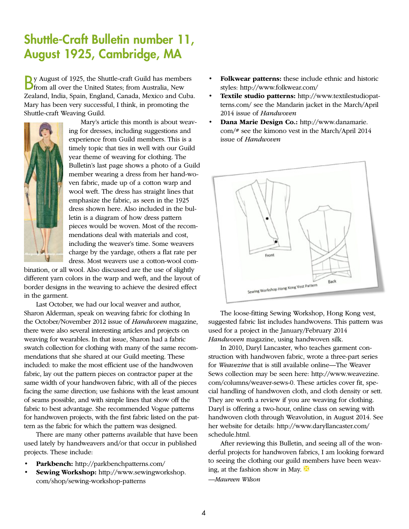# Shuttle-Craft Bulletin number 11, August 1925, Cambridge, MA

By August of 1925, the Shuttle-craft Guild has members from all over the United States; from Australia, New Zealand, India, Spain, England, Canada, Mexico and Cuba. Mary has been very successful, I think, in promoting the Shuttle-craft Weaving Guild.



Mary's article this month is about weaving for dresses, including suggestions and experience from Guild members. This is a timely topic that ties in well with our Guild year theme of weaving for clothing. The Bulletin's last page shows a photo of a Guild member wearing a dress from her hand-woven fabric, made up of a cotton warp and wool weft. The dress has straight lines that emphasize the fabric, as seen in the 1925 dress shown here. Also included in the bulletin is a diagram of how dress pattern pieces would be woven. Most of the recommendations deal with materials and cost, including the weaver's time. Some weavers charge by the yardage, others a flat rate per dress. Most weavers use a cotton-wool com-

bination, or all wool. Also discussed are the use of slightly different yarn colors in the warp and weft, and the layout of border designs in the weaving to achieve the desired effect in the garment.

Last October, we had our local weaver and author, Sharon Alderman, speak on weaving fabric for clothing In the October/November 2012 issue of *Handwoven* magazine, there were also several interesting articles and projects on weaving for wearables. In that issue, Sharon had a fabric swatch collection for clothing with many of the same recommendations that she shared at our Guild meeting. These included: to make the most efficient use of the handwoven fabric, lay out the pattern pieces on contractor paper at the same width of your handwoven fabric, with all of the pieces facing the same direction; use fashions with the least amount of seams possible, and with simple lines that show off the fabric to best advantage. She recommended Vogue patterns for handwoven projects, with the first fabric listed on the pattern as the fabric for which the pattern was designed.

There are many other patterns available that have been used lately by handweavers and/or that occur in published projects. These include:

- **Parkbench:** http://parkbenchpatterns.com/
- **Sewing Workshop:** http://www.sewingworkshop. com/shop/sewing-workshop-patterns
- **Folkwear patterns:** these include ethnic and historic styles: http://www.folkwear.com/
- **Textile studio patterns:** http://www.textilestudiopatterns.com/ see the Mandarin jacket in the March/April 2014 issue of *Handwoven*
- **Dana Marie Design Co.:** http://www.danamarie. com/# see the kimono vest in the March/April 2014 issue of *Handwoven*



The loose-fitting Sewing Workshop, Hong Kong vest, suggested fabric list includes handwovens. This pattern was used for a project in the January/February 2014 *Handwoven* magazine, using handwoven silk.

In 2010, Daryl Lancaster, who teaches garment construction with handwoven fabric, wrote a three-part series for *Weavezine* that is still available online—The Weaver Sews collection may be seen here: http://www.weavezine. com/columns/weaver-sews-0. These articles cover fit, special handling of handwoven cloth, and cloth density or sett. They are worth a review if you are weaving for clothing. Daryl is offering a two-hour, online class on sewing with handwoven cloth through Weavolution, in August 2014. See her website for details: http://www.daryllancaster.com/ schedule.html.

After reviewing this Bulletin, and seeing all of the wonderful projects for handwoven fabrics, I am looking forward to seeing the clothing our guild members have been weaving, at the fashion show in May.  $\mathbb{X}$ *—Maureen Wilson*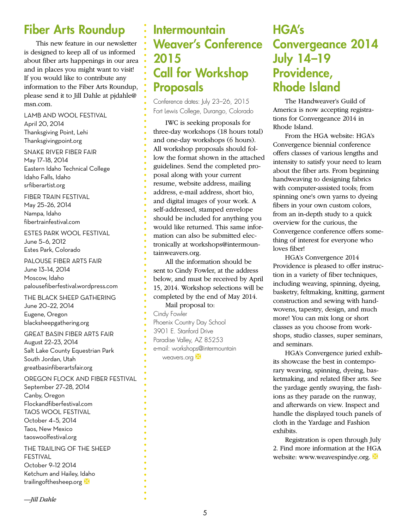# Fiber Arts Roundup

This new feature in our newsletter is designed to keep all of us informed about fiber arts happenings in our area and in places you might want to visit! If you would like to contribute any information to the Fiber Arts Roundup, please send it to Jill Dahle at pjdahle@ msn.com.

LAMB AND WOOL FESTIVAL April 20, 2014 Thanksgiving Point, Lehi Thanksgivingpoint.org

SNAKE RIVER FIBER FAIR May 17–18, 2014 Eastern Idaho Technical College Idaho Falls, Idaho srfiberartist.org

FIBER TRAIN FESTIVAL May 25–26, 2014 Nampa, Idaho fibertrainfestival.com

ESTES PARK WOOL FESTIVAL June 5–6, 2012 Estes Park, Colorado

PALOUSE FIBER ARTS FAIR June 13–14, 2014 Moscow, Idaho palousefiberfestival.wordpress.com

THE BLACK SHEEP GATHERING June 20–22, 2014 Eugene, Oregon blacksheepgathering.org

#### GREAT BASIN FIBER ARTS FAIR

August 22–23, 2014 Salt Lake County Equestrian Park South Jordan, Utah greatbasinfiberartsfair.org

#### OREGON FLOCK AND FIBER FESTIVAL

September 27–28, 2014 Canby, Oregon Flockandfiberfestival.com TAOS WOOL FESTIVAL October 4–5, 2014 Taos, New Mexico taoswoolfestival.org

THE TRAILING OF THE SHEEP FESTIVAL

October 9–12 2014 Ketchum and Hailey, Idaho trailingofthesheep.org

#### *—Jill Dahle*

# **Intermountain** Weaver's Conference 2015 Call for Workshop Proposals

Conference dates: July 23–26, 2015 Fort Lewis College, Durango, Colorado

IWC is seeking proposals for three-day workshops (18 hours total) and one-day workshops (6 hours). All workshop proposals should follow the format shown in the attached guidelines. Send the completed proposal along with your current resume, website address, mailing address, e-mail address, short bio, and digital images of your work. A self-addressed, stamped envelope should be included for anything you would like returned. This same information can also be submitted electronically at workshops@intermountainweavers.org.

All the information should be sent to Cindy Fowler, at the address below, and must be received by April 15, 2014. Workshop selections will be completed by the end of May 2014. Mail proposal to:

Cindy Fowler Phoenix Country Day School 3901 E. Stanford Drive Paradise Valley, AZ 85253 e-mail: workshops@intermountain weavers.org

### HGA's Convergeance 2014 July 14–19 Providence, Rhode Island

The Handweaver's Guild of America is now accepting registrations for Convergeance 2014 in Rhode Island.

From the HGA website: HGA's Convergence biennial conference offers classes of various lengths and intensity to satisfy your need to learn about the fiber arts. From beginning handweaving to designing fabrics with computer-assisted tools; from spinning one's own yarns to dyeing fibers in your own custom colors, from an in-depth study to a quick overview for the curious, the Convergence conference offers something of interest for everyone who loves fiber!

HGA's Convergence 2014 Providence is pleased to offer instruction in a variety of fiber techniques, including weaving, spinning, dyeing, basketry, feltmaking, knitting, garment construction and sewing with handwovens, tapestry, design, and much more! You can mix long or short classes as you choose from workshops, studio classes, super seminars, and seminars.

HGA's Convergence juried exhibits showcase the best in contemporary weaving, spinning, dyeing, basketmaking, and related fiber arts. See the yardage gently swaying, the fashions as they parade on the runway, and afterwards on view. Inspect and handle the displayed touch panels of cloth in the Yardage and Fashion exhibits.

Registration is open through July 2. Find more information at the HGA website: www.weavespindye.org.